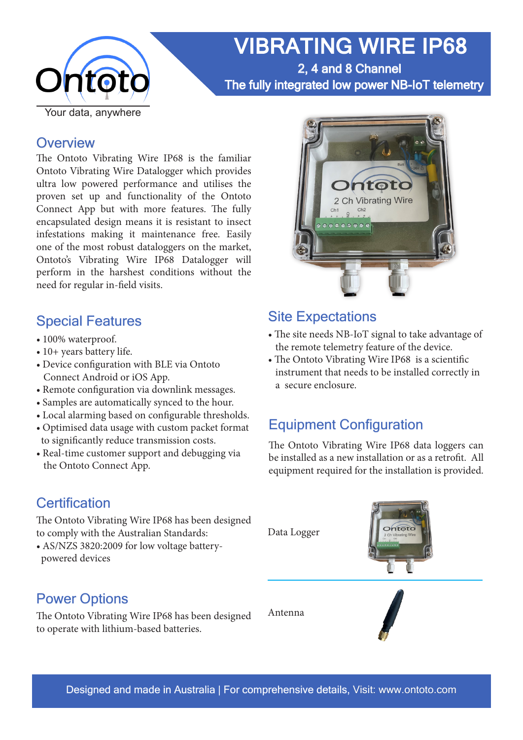

VIBRATING WIRE IP68 2, 4 and 8 Channel

The fully integrated low power NB-IoT telemetry

### **Overview**

The Ontoto Vibrating Wire IP68 is the familiar Ontoto Vibrating Wire Datalogger which provides ultra low powered performance and utilises the proven set up and functionality of the Ontoto Connect App but with more features. The fully encapsulated design means it is resistant to insect infestations making it maintenance free. Easily one of the most robust dataloggers on the market, Ontoto's Vibrating Wire IP68 Datalogger will perform in the harshest conditions without the need for regular in-field visits.

### Special Features

- 100% waterproof.
- 10+ years battery life.
- Device configuration with BLE via Ontoto Connect Android or iOS App.
- Remote configuration via downlink messages.
- Samples are automatically synced to the hour.
- Local alarming based on configurable thresholds.
- Optimised data usage with custom packet format to significantly reduce transmission costs.
- Real-time customer support and debugging via the Ontoto Connect App.

## **Certification**

The Ontoto Vibrating Wire IP68 has been designed to comply with the Australian Standards:

• AS/NZS 3820:2009 for low voltage battery powered devices

## Power Options

The Ontoto Vibrating Wire IP68 has been designed to operate with lithium-based batteries.



### Site Expectations

- The site needs NB-IoT signal to take advantage of the remote telemetry feature of the device.
- The Ontoto Vibrating Wire IP68 is a scientific instrument that needs to be installed correctly in a secure enclosure.

## Equipment Configuration

The Ontoto Vibrating Wire IP68 data loggers can be installed as a new installation or as a retrofit. All equipment required for the installation is provided.

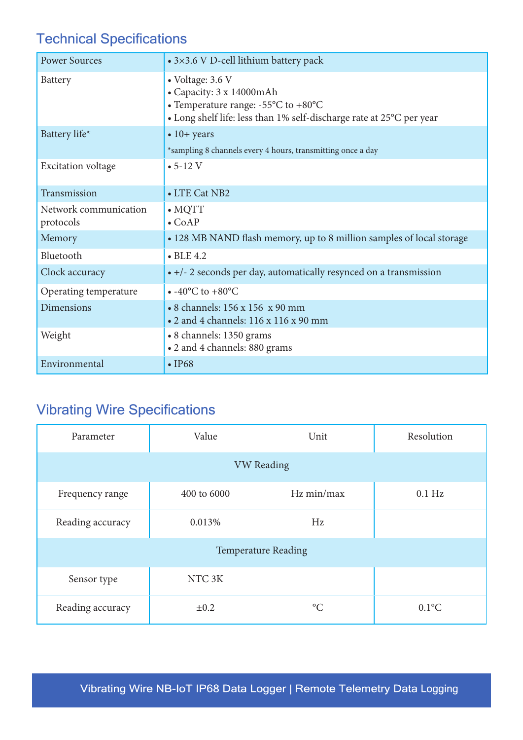# Technical Specifications

| <b>Power Sources</b>               | • 3×3.6 V D-cell lithium battery pack                                                                                                                                             |  |  |
|------------------------------------|-----------------------------------------------------------------------------------------------------------------------------------------------------------------------------------|--|--|
| Battery                            | • Voltage: 3.6 V<br>• Capacity: 3 x 14000mAh<br>• Temperature range: - $55^{\circ}$ C to +80 $^{\circ}$ C<br>• Long shelf life: less than 1% self-discharge rate at 25°C per year |  |  |
| Battery life*                      | $\bullet$ 10+ years<br>*sampling 8 channels every 4 hours, transmitting once a day                                                                                                |  |  |
| <b>Excitation voltage</b>          | $\cdot$ 5-12 V                                                                                                                                                                    |  |  |
| Transmission                       | • LTE Cat NB2                                                                                                                                                                     |  |  |
| Network communication<br>protocols | $\bullet$ MQTT<br>$\bullet$ CoAP                                                                                                                                                  |  |  |
| Memory                             | • 128 MB NAND flash memory, up to 8 million samples of local storage                                                                                                              |  |  |
| Bluetooth                          | $\bullet$ BLE 4.2                                                                                                                                                                 |  |  |
| Clock accuracy                     | • +/- 2 seconds per day, automatically resynced on a transmission                                                                                                                 |  |  |
| Operating temperature              | $\bullet$ -40°C to +80°C                                                                                                                                                          |  |  |
| <b>Dimensions</b>                  | • 8 channels: 156 x 156 x 90 mm<br>• 2 and 4 channels: 116 x 116 x 90 mm                                                                                                          |  |  |
| Weight                             | • 8 channels: 1350 grams<br>• 2 and 4 channels: 880 grams                                                                                                                         |  |  |
| Environmental                      | $\cdot$ IP68                                                                                                                                                                      |  |  |

# Vibrating Wire Specifications

| Parameter                  | Value              | Unit            | Resolution |  |
|----------------------------|--------------------|-----------------|------------|--|
| <b>VW Reading</b>          |                    |                 |            |  |
| Frequency range            | 400 to 6000        | Hz min/max      | $0.1$ Hz   |  |
| Reading accuracy           | 0.013%             | Hz              |            |  |
| <b>Temperature Reading</b> |                    |                 |            |  |
| Sensor type                | NTC <sub>3</sub> K |                 |            |  |
| Reading accuracy           | $\pm 0.2$          | $\rm ^{\circ}C$ | $0.1$ °C   |  |